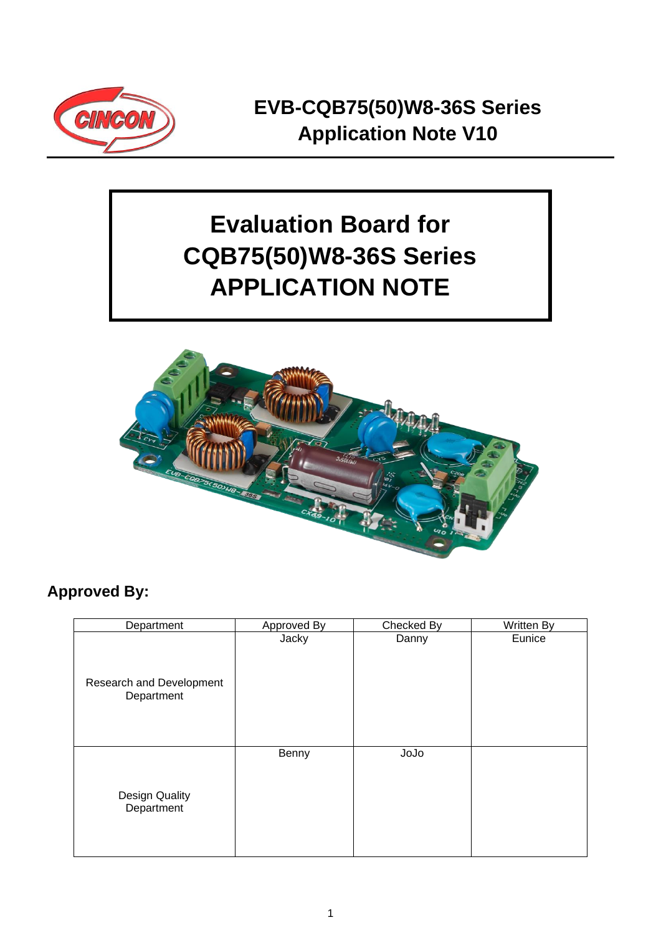

# **Evaluation Board for CQB75(50)W8-36S Series APPLICATION NOTE**



### **Approved By:**

| Department                             | Approved By | Checked By | Written By |
|----------------------------------------|-------------|------------|------------|
| Research and Development<br>Department | Jacky       | Danny      | Eunice     |
| Design Quality<br>Department           | Benny       | JoJo       |            |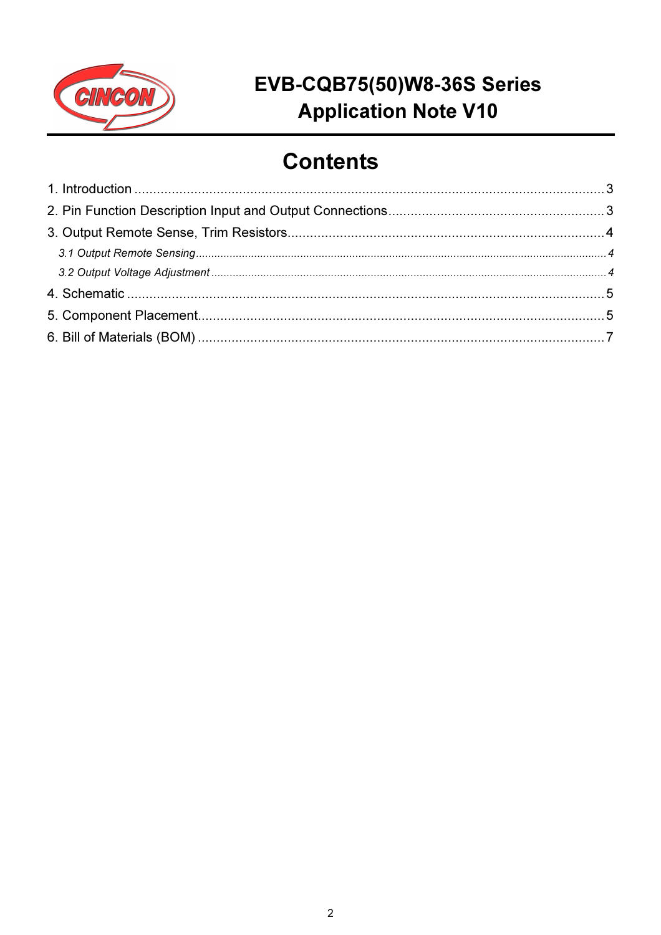

## **Contents**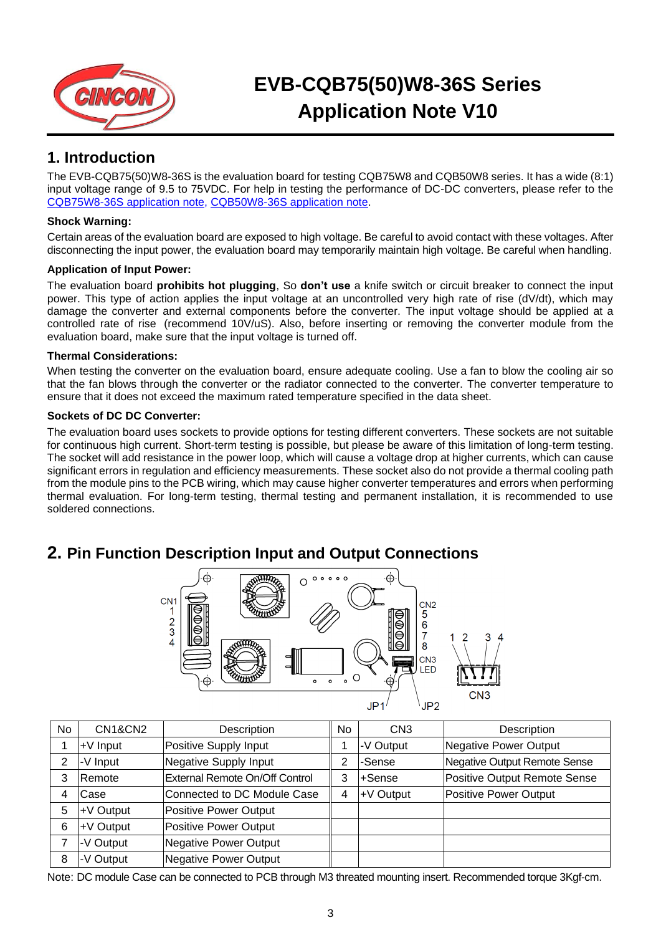

### **1. Introduction**

The EVB-CQB75(50)W8-36S is the evaluation board for testing CQB75W8 and CQB50W8 series. It has a wide (8:1) input voltage range of 9.5 to 75VDC. For help in testing the performance of DC-DC converters, please refer to the [CQB75W8-36S application note,](https://www.cincon.com/productdownload/CQB75W8-36S-series-application-note.pdf) [CQB50W8-36S application note.](https://www.cincon.com/productdownload/CQB50W8-36S-series-application-note.pdf)

#### **Shock Warning:**

Certain areas of the evaluation board are exposed to high voltage. Be careful to avoid contact with these voltages. After disconnecting the input power, the evaluation board may temporarily maintain high voltage. Be careful when handling.

#### **Application of Input Power:**

The evaluation board **prohibits hot plugging**, So **don't use** a knife switch or circuit breaker to connect the input power. This type of action applies the input voltage at an uncontrolled very high rate of rise (dV/dt), which may damage the converter and external components before the converter. The input voltage should be applied at a controlled rate of rise (recommend 10V/uS). Also, before inserting or removing the converter module from the evaluation board, make sure that the input voltage is turned off.

#### **Thermal Considerations:**

When testing the converter on the evaluation board, ensure adequate cooling. Use a fan to blow the cooling air so that the fan blows through the converter or the radiator connected to the converter. The converter temperature to ensure that it does not exceed the maximum rated temperature specified in the data sheet.

#### **Sockets of DC DC Converter:**

The evaluation board uses sockets to provide options for testing different converters. These sockets are not suitable for continuous high current. Short-term testing is possible, but please be aware of this limitation of long-term testing. The socket will add resistance in the power loop, which will cause a voltage drop at higher currents, which can cause significant errors in regulation and efficiency measurements. These socket also do not provide a thermal cooling path from the module pins to the PCB wiring, which may cause higher converter temperatures and errors when performing thermal evaluation. For long-term testing, thermal testing and permanent installation, it is recommended to use soldered connections.

### **2. Pin Function Description Input and Output Connections**



| No | <b>CN1&amp;CN2</b> | Description                    | No | CN <sub>3</sub> | Description                  |
|----|--------------------|--------------------------------|----|-----------------|------------------------------|
|    | +V Input           | Positive Supply Input          |    | -V Output       | Negative Power Output        |
| 2  | -V Input           | Negative Supply Input          | っ  | -Sense          | Negative Output Remote Sense |
| 3  | Remote             | External Remote On/Off Control | 3  | +Sense          | Positive Output Remote Sense |
| 4  | Case               | Connected to DC Module Case    | 4  | +V Output       | Positive Power Output        |
| 5  | +V Output          | Positive Power Output          |    |                 |                              |
| 6  | +V Output          | Positive Power Output          |    |                 |                              |
|    | -V Output          | Negative Power Output          |    |                 |                              |
| 8  | -V Output          | Negative Power Output          |    |                 |                              |

Note: DC module Case can be connected to PCB through M3 threated mounting insert. Recommended torque 3Kgf-cm.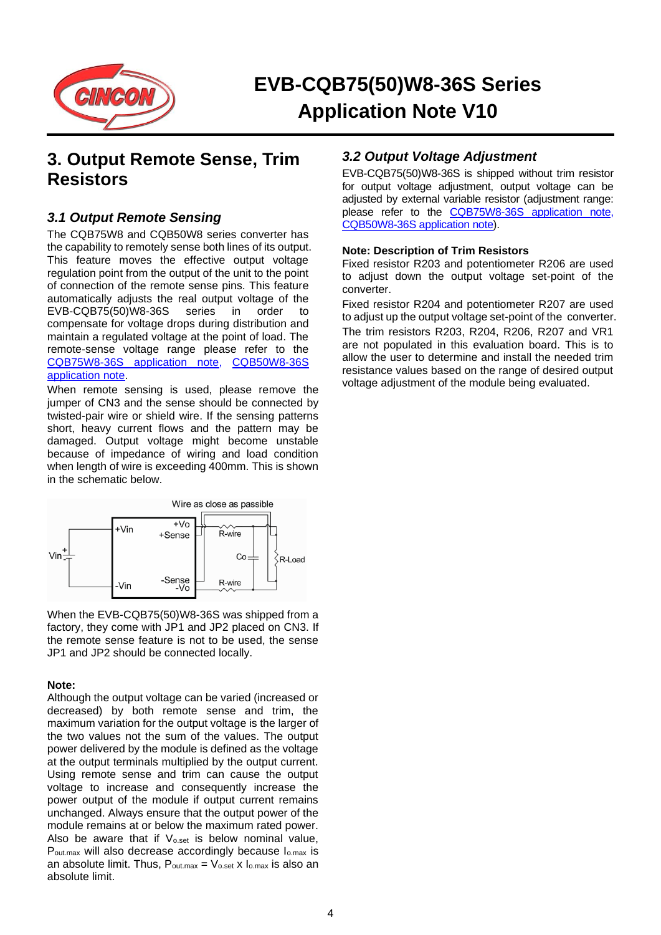

### **3. Output Remote Sense, Trim Resistors**

#### *3.1 Output Remote Sensing*

The CQB75W8 and CQB50W8 series converter has the capability to remotely sense both lines of its output. This feature moves the effective output voltage regulation point from the output of the unit to the point of connection of the remote sense pins. This feature automatically adjusts the real output voltage of the<br>EVB-CQB75(50)W8-36S series in order to EVB-CQB75(50)W8-36S series in order to compensate for voltage drops during distribution and maintain a regulated voltage at the point of load. The remote-sense voltage range please refer to the [CQB75W8-36S application note,](https://www.cincon.com/productdownload/CQB75W8-36S-series-application-note.pdf) [CQB50W8-36S](https://www.cincon.com/productdownload/CQB50W8-36S-series-application-note.pdf)  [application note.](https://www.cincon.com/productdownload/CQB50W8-36S-series-application-note.pdf)

When remote sensing is used, please remove the jumper of CN3 and the sense should be connected by twisted-pair wire or shield wire. If the sensing patterns short, heavy current flows and the pattern may be damaged. Output voltage might become unstable because of impedance of wiring and load condition when length of wire is exceeding 400mm. This is shown in the schematic below.



When the EVB-CQB75(50)W8-36S was shipped from a factory, they come with JP1 and JP2 placed on CN3. If the remote sense feature is not to be used, the sense JP1 and JP2 should be connected locally.

#### **Note:**

Although the output voltage can be varied (increased or decreased) by both remote sense and trim, the maximum variation for the output voltage is the larger of the two values not the sum of the values. The output power delivered by the module is defined as the voltage at the output terminals multiplied by the output current. Using remote sense and trim can cause the output voltage to increase and consequently increase the power output of the module if output current remains unchanged. Always ensure that the output power of the module remains at or below the maximum rated power. Also be aware that if  $V_{o.set}$  is below nominal value, P<sub>out.max</sub> will also decrease accordingly because I<sub>o.max</sub> is an absolute limit. Thus,  $P_{\text{out.max}} = V_{\text{o.set}}$  x  $I_{\text{o.max}}$  is also an absolute limit.

#### *3.2 Output Voltage Adjustment*

EVB-CQB75(50)W8-36S is shipped without trim resistor for output voltage adjustment, output voltage can be adjusted by external variable resistor (adjustment range: please refer to the [CQB75W8-36S application note,](https://www.cincon.com/productdownload/CQB75W8-36S-series-application-note.pdf) [CQB50W8-36S application note\)](https://www.cincon.com/productdownload/CQB50W8-36S-series-application-note.pdf).

#### **Note: Description of Trim Resistors**

Fixed resistor R203 and potentiometer R206 are used to adjust down the output voltage set-point of the converter.

Fixed resistor R204 and potentiometer R207 are used to adjust up the output voltage set-point of the converter. The trim resistors R203, R204, R206, R207 and VR1 are not populated in this evaluation board. This is to allow the user to determine and install the needed trim resistance values based on the range of desired output voltage adjustment of the module being evaluated.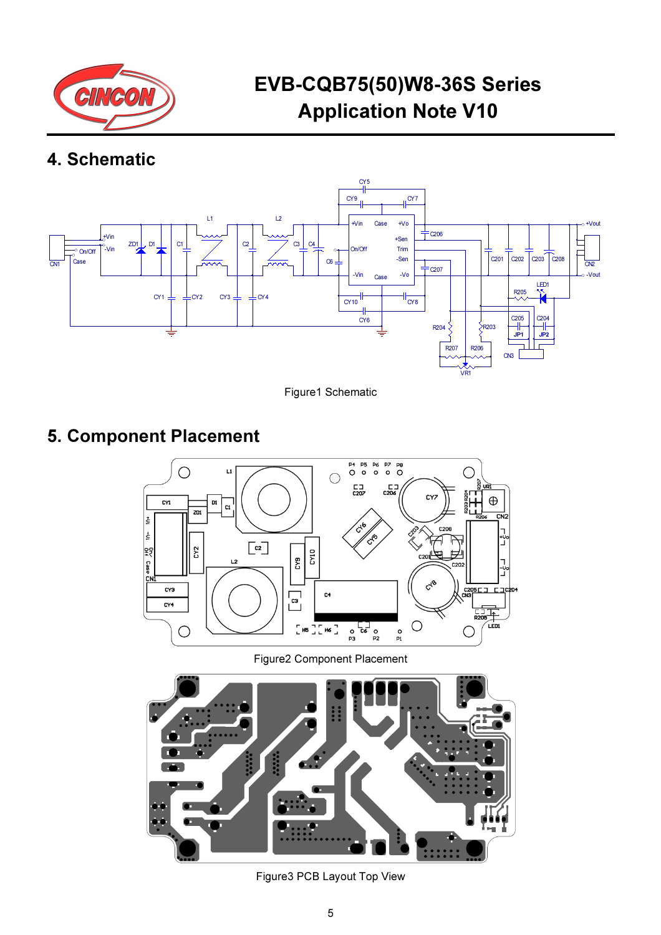

### 4. Schematic



Figure1 Schematic

### 5. Component Placement



Figure2 Component Placement



Figure3 PCB Layout Top View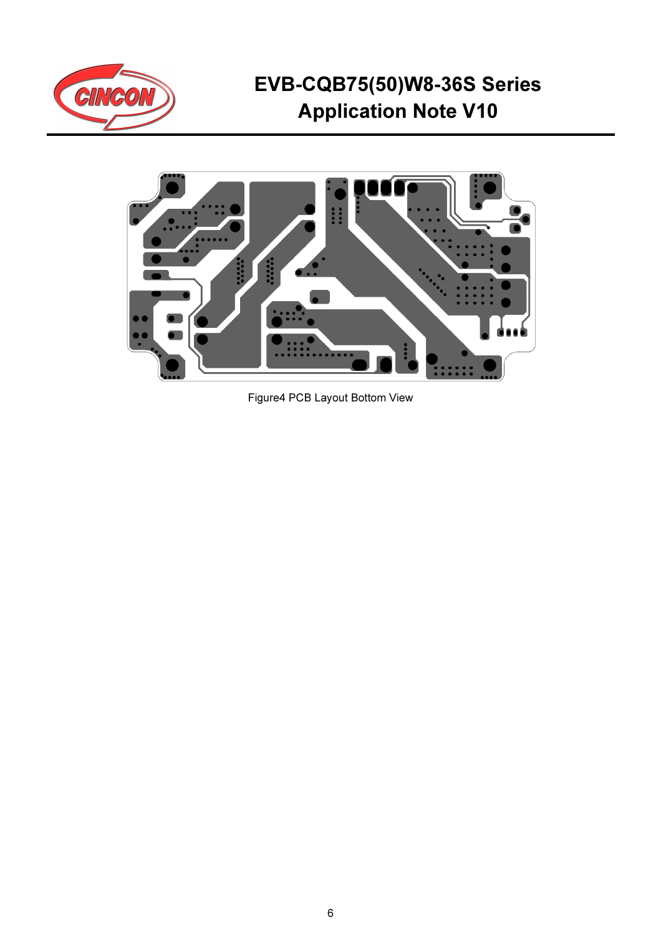



Figure4 PCB Layout Bottom View